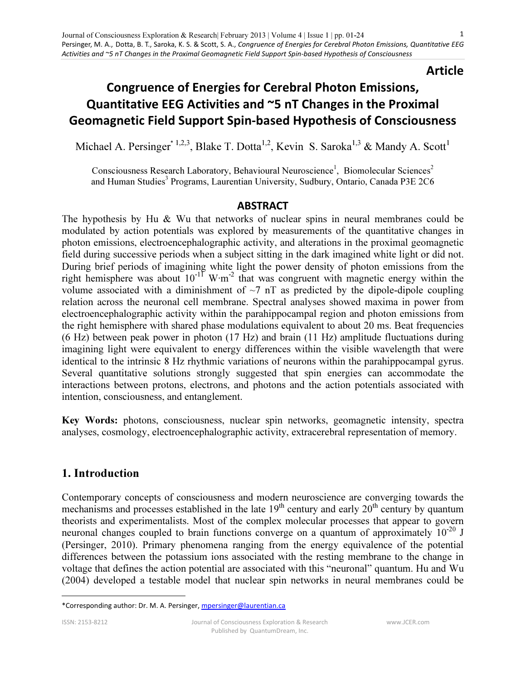# Article

# Congruence of Energies for Cerebral Photon Emissions, Quantitative EEG Activities and ~5 nT Changes in the Proximal Geomagnetic Field Support Spin-based Hypothesis of Consciousness

Michael A. Persinger<sup>\* 1,2,3</sup>, Blake T. Dotta<sup>1,2</sup>, Kevin S. Saroka<sup>1,3</sup> & Mandy A. Scott<sup>1</sup>

Consciousness Research Laboratory, Behavioural Neuroscience<sup>1</sup>, Biomolecular Sciences<sup>2</sup> and Human Studies<sup>3</sup> Programs, Laurentian University, Sudbury, Ontario, Canada P3E 2C6

# ABSTRACT

The hypothesis by Hu & Wu that networks of nuclear spins in neural membranes could be modulated by action potentials was explored by measurements of the quantitative changes in photon emissions, electroencephalographic activity, and alterations in the proximal geomagnetic field during successive periods when a subject sitting in the dark imagined white light or did not. During brief periods of imagining white light the power density of photon emissions from the right hemisphere was about  $10^{-11}$  W⋅m<sup>-2</sup> that was congruent with magnetic energy within the volume associated with a diminishment of  $\sim$ 7 nT as predicted by the dipole-dipole coupling relation across the neuronal cell membrane. Spectral analyses showed maxima in power from electroencephalographic activity within the parahippocampal region and photon emissions from the right hemisphere with shared phase modulations equivalent to about 20 ms. Beat frequencies (6 Hz) between peak power in photon (17 Hz) and brain (11 Hz) amplitude fluctuations during imagining light were equivalent to energy differences within the visible wavelength that were identical to the intrinsic 8 Hz rhythmic variations of neurons within the parahippocampal gyrus. Several quantitative solutions strongly suggested that spin energies can accommodate the interactions between protons, electrons, and photons and the action potentials associated with intention, consciousness, and entanglement.

Key Words: photons, consciousness, nuclear spin networks, geomagnetic intensity, spectra analyses, cosmology, electroencephalographic activity, extracerebral representation of memory.

# 1. Introduction

Contemporary concepts of consciousness and modern neuroscience are converging towards the mechanisms and processes established in the late  $19<sup>th</sup>$  century and early  $20<sup>th</sup>$  century by quantum theorists and experimentalists. Most of the complex molecular processes that appear to govern neuronal changes coupled to brain functions converge on a quantum of approximately  $10^{-20}$  J (Persinger, 2010). Primary phenomena ranging from the energy equivalence of the potential differences between the potassium ions associated with the resting membrane to the change in voltage that defines the action potential are associated with this "neuronal" quantum. Hu and Wu (2004) developed a testable model that nuclear spin networks in neural membranes could be

1

<sup>\*</sup>Corresponding author: Dr. M. A. Persinger, mpersinger@laurentian.ca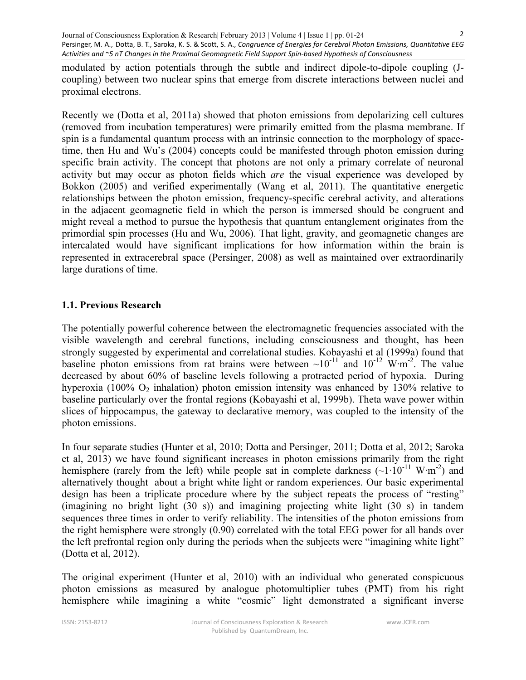modulated by action potentials through the subtle and indirect dipole-to-dipole coupling (Jcoupling) between two nuclear spins that emerge from discrete interactions between nuclei and proximal electrons.

Recently we (Dotta et al, 2011a) showed that photon emissions from depolarizing cell cultures (removed from incubation temperatures) were primarily emitted from the plasma membrane. If spin is a fundamental quantum process with an intrinsic connection to the morphology of spacetime, then Hu and Wu's (2004) concepts could be manifested through photon emission during specific brain activity. The concept that photons are not only a primary correlate of neuronal activity but may occur as photon fields which are the visual experience was developed by Bokkon (2005) and verified experimentally (Wang et al, 2011). The quantitative energetic relationships between the photon emission, frequency-specific cerebral activity, and alterations in the adjacent geomagnetic field in which the person is immersed should be congruent and might reveal a method to pursue the hypothesis that quantum entanglement originates from the primordial spin processes (Hu and Wu, 2006). That light, gravity, and geomagnetic changes are intercalated would have significant implications for how information within the brain is represented in extracerebral space (Persinger, 2008) as well as maintained over extraordinarily large durations of time.

# 1.1. Previous Research

The potentially powerful coherence between the electromagnetic frequencies associated with the visible wavelength and cerebral functions, including consciousness and thought, has been strongly suggested by experimental and correlational studies. Kobayashi et al (1999a) found that baseline photon emissions from rat brains were between ~10<sup>-11</sup> and 10<sup>-12</sup> W⋅m<sup>-2</sup>. The value decreased by about 60% of baseline levels following a protracted period of hypoxia. During hyperoxia (100%  $O_2$  inhalation) photon emission intensity was enhanced by 130% relative to baseline particularly over the frontal regions (Kobayashi et al, 1999b). Theta wave power within slices of hippocampus, the gateway to declarative memory, was coupled to the intensity of the photon emissions.

In four separate studies (Hunter et al, 2010; Dotta and Persinger, 2011; Dotta et al, 2012; Saroka et al, 2013) we have found significant increases in photon emissions primarily from the right hemisphere (rarely from the left) while people sat in complete darkness ( $\sim 1 \cdot 10^{-11}$  W⋅m<sup>-2</sup>) and alternatively thought about a bright white light or random experiences. Our basic experimental design has been a triplicate procedure where by the subject repeats the process of "resting" (imagining no bright light (30 s)) and imagining projecting white light (30 s) in tandem sequences three times in order to verify reliability. The intensities of the photon emissions from the right hemisphere were strongly (0.90) correlated with the total EEG power for all bands over the left prefrontal region only during the periods when the subjects were "imagining white light" (Dotta et al, 2012).

The original experiment (Hunter et al, 2010) with an individual who generated conspicuous photon emissions as measured by analogue photomultiplier tubes (PMT) from his right hemisphere while imagining a white "cosmic" light demonstrated a significant inverse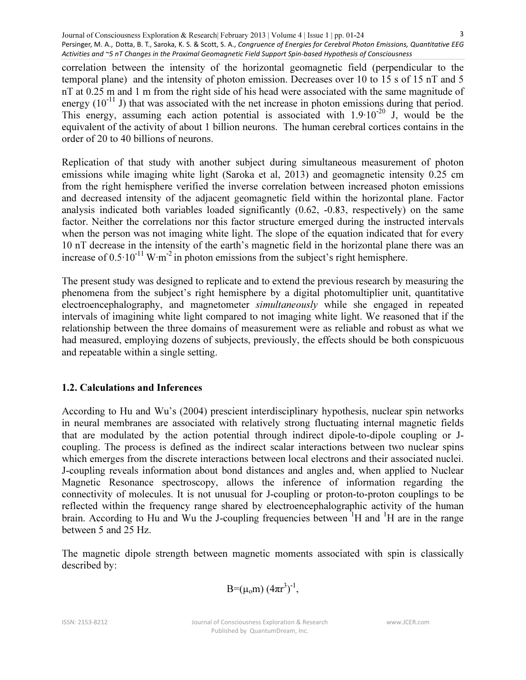correlation between the intensity of the horizontal geomagnetic field (perpendicular to the temporal plane) and the intensity of photon emission. Decreases over 10 to 15 s of 15 nT and 5 nT at 0.25 m and 1 m from the right side of his head were associated with the same magnitude of energy  $(10^{-11}$  J) that was associated with the net increase in photon emissions during that period. This energy, assuming each action potential is associated with  $1.9 \cdot 10^{-20}$  J, would be the equivalent of the activity of about 1 billion neurons. The human cerebral cortices contains in the order of 20 to 40 billions of neurons.

Replication of that study with another subject during simultaneous measurement of photon emissions while imaging white light (Saroka et al, 2013) and geomagnetic intensity 0.25 cm from the right hemisphere verified the inverse correlation between increased photon emissions and decreased intensity of the adjacent geomagnetic field within the horizontal plane. Factor analysis indicated both variables loaded significantly (0.62, -0.83, respectively) on the same factor. Neither the correlations nor this factor structure emerged during the instructed intervals when the person was not imaging white light. The slope of the equation indicated that for every 10 nT decrease in the intensity of the earth's magnetic field in the horizontal plane there was an increase of 0.5∙10-11 W∙m-2 in photon emissions from the subject's right hemisphere.

The present study was designed to replicate and to extend the previous research by measuring the phenomena from the subject's right hemisphere by a digital photomultiplier unit, quantitative electroencephalography, and magnetometer simultaneously while she engaged in repeated intervals of imagining white light compared to not imaging white light. We reasoned that if the relationship between the three domains of measurement were as reliable and robust as what we had measured, employing dozens of subjects, previously, the effects should be both conspicuous and repeatable within a single setting.

# 1.2. Calculations and Inferences

According to Hu and Wu's (2004) prescient interdisciplinary hypothesis, nuclear spin networks in neural membranes are associated with relatively strong fluctuating internal magnetic fields that are modulated by the action potential through indirect dipole-to-dipole coupling or Jcoupling. The process is defined as the indirect scalar interactions between two nuclear spins which emerges from the discrete interactions between local electrons and their associated nuclei. J-coupling reveals information about bond distances and angles and, when applied to Nuclear Magnetic Resonance spectroscopy, allows the inference of information regarding the connectivity of molecules. It is not unusual for J-coupling or proton-to-proton couplings to be reflected within the frequency range shared by electroencephalographic activity of the human brain. According to Hu and Wu the J-coupling frequencies between  $\mathrm{H}$  and  $\mathrm{H}$  are in the range between 5 and 25 Hz.

The magnetic dipole strength between magnetic moments associated with spin is classically described by:

$$
B\!\!=\!\!(\mu_0m)\,(4\pi r^3)^{\text{-}1},
$$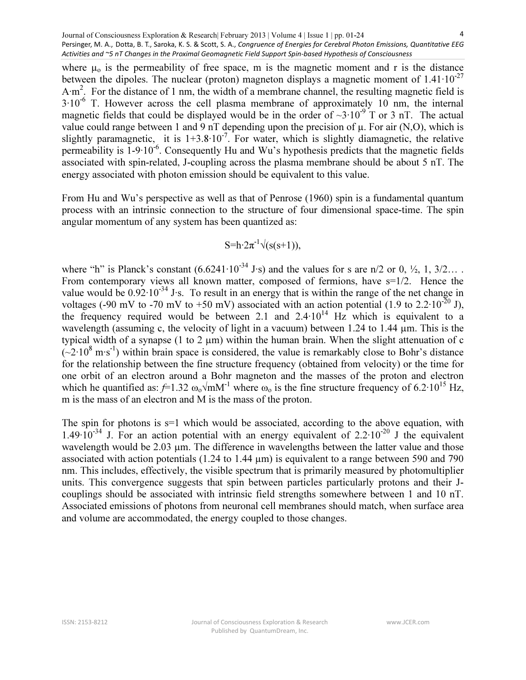where  $\mu_0$  is the permeability of free space, m is the magnetic moment and r is the distance between the dipoles. The nuclear (proton) magneton displays a magnetic moment of  $1.41 \cdot 10^{-27}$ A∙m<sup>2</sup> . For the distance of 1 nm, the width of a membrane channel, the resulting magnetic field is 3∙10-6 T. However across the cell plasma membrane of approximately 10 nm, the internal magnetic fields that could be displayed would be in the order of  $\sim$ 3∙10<sup>-9</sup> T or 3 nT. The actual value could range between 1 and 9 nT depending upon the precision of  $\mu$ . For air (N,O), which is slightly paramagnetic, it is  $1+3.8 \cdot 10^{-7}$ . For water, which is slightly diamagnetic, the relative permeability is 1-9⋅10<sup>-6</sup>. Consequently Hu and Wu's hypothesis predicts that the magnetic fields associated with spin-related, J-coupling across the plasma membrane should be about 5 nT. The energy associated with photon emission should be equivalent to this value.

From Hu and Wu's perspective as well as that of Penrose (1960) spin is a fundamental quantum process with an intrinsic connection to the structure of four dimensional space-time. The spin angular momentum of any system has been quantized as:

$$
S=h \cdot 2\pi^{-1}\sqrt{(s(s+1))},
$$

where "h" is Planck's constant  $(6.6241 \cdot 10^{-34} \text{ J} \cdot \text{s})$  and the values for s are n/2 or 0,  $\frac{1}{2}$ , 1, 3/2… From contemporary views all known matter, composed of fermions, have  $s=1/2$ . Hence the value would be 0.92⋅10<sup>-34</sup> J⋅s. To result in an energy that is within the range of the net change in voltages (-90 mV to -70 mV to +50 mV) associated with an action potential (1.9 to 2.2⋅10<sup>-20</sup> J), the frequency required would be between 2.1 and  $2.4 \cdot 10^{14}$  Hz which is equivalent to a wavelength (assuming c, the velocity of light in a vacuum) between 1.24 to 1.44  $\mu$ m. This is the typical width of a synapse (1 to 2  $\mu$ m) within the human brain. When the slight attenuation of c  $(-2.10^8 \text{ m} \cdot \text{s}^{-1})$  within brain space is considered, the value is remarkably close to Bohr's distance for the relationship between the fine structure frequency (obtained from velocity) or the time for one orbit of an electron around a Bohr magneton and the masses of the proton and electron which he quantified as:  $f=1.32 \omega_0/mM^{-1}$  where  $\omega_0$  is the fine structure frequency of 6.2⋅10<sup>15</sup> Hz, m is the mass of an electron and M is the mass of the proton.

The spin for photons is  $s=1$  which would be associated, according to the above equation, with 1.49⋅10<sup>-34</sup> J. For an action potential with an energy equivalent of 2.2⋅10<sup>-20</sup> J the equivalent wavelength would be 2.03 µm. The difference in wavelengths between the latter value and those associated with action potentials (1.24 to 1.44 µm) is equivalent to a range between 590 and 790 nm. This includes, effectively, the visible spectrum that is primarily measured by photomultiplier units. This convergence suggests that spin between particles particularly protons and their Jcouplings should be associated with intrinsic field strengths somewhere between 1 and 10 nT. Associated emissions of photons from neuronal cell membranes should match, when surface area and volume are accommodated, the energy coupled to those changes.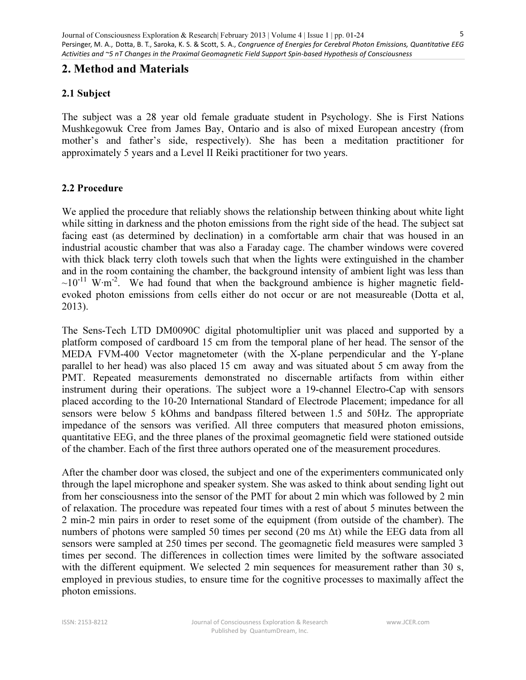# 2. Method and Materials

# 2.1 Subject

The subject was a 28 year old female graduate student in Psychology. She is First Nations Mushkegowuk Cree from James Bay, Ontario and is also of mixed European ancestry (from mother's and father's side, respectively). She has been a meditation practitioner for approximately 5 years and a Level II Reiki practitioner for two years.

# 2.2 Procedure

We applied the procedure that reliably shows the relationship between thinking about white light while sitting in darkness and the photon emissions from the right side of the head. The subject sat facing east (as determined by declination) in a comfortable arm chair that was housed in an industrial acoustic chamber that was also a Faraday cage. The chamber windows were covered with thick black terry cloth towels such that when the lights were extinguished in the chamber and in the room containing the chamber, the background intensity of ambient light was less than  $\sim 10^{-11}$  W⋅m<sup>-2</sup>. We had found that when the background ambience is higher magnetic fieldevoked photon emissions from cells either do not occur or are not measureable (Dotta et al, 2013).

The Sens-Tech LTD DM0090C digital photomultiplier unit was placed and supported by a platform composed of cardboard 15 cm from the temporal plane of her head. The sensor of the MEDA FVM-400 Vector magnetometer (with the X-plane perpendicular and the Y-plane parallel to her head) was also placed 15 cm away and was situated about 5 cm away from the PMT. Repeated measurements demonstrated no discernable artifacts from within either instrument during their operations. The subject wore a 19-channel Electro-Cap with sensors placed according to the 10-20 International Standard of Electrode Placement; impedance for all sensors were below 5 kOhms and bandpass filtered between 1.5 and 50Hz. The appropriate impedance of the sensors was verified. All three computers that measured photon emissions, quantitative EEG, and the three planes of the proximal geomagnetic field were stationed outside of the chamber. Each of the first three authors operated one of the measurement procedures.

After the chamber door was closed, the subject and one of the experimenters communicated only through the lapel microphone and speaker system. She was asked to think about sending light out from her consciousness into the sensor of the PMT for about 2 min which was followed by 2 min of relaxation. The procedure was repeated four times with a rest of about 5 minutes between the 2 min-2 min pairs in order to reset some of the equipment (from outside of the chamber). The numbers of photons were sampled 50 times per second (20 ms Δt) while the EEG data from all sensors were sampled at 250 times per second. The geomagnetic field measures were sampled 3 times per second. The differences in collection times were limited by the software associated with the different equipment. We selected 2 min sequences for measurement rather than 30 s, employed in previous studies, to ensure time for the cognitive processes to maximally affect the photon emissions.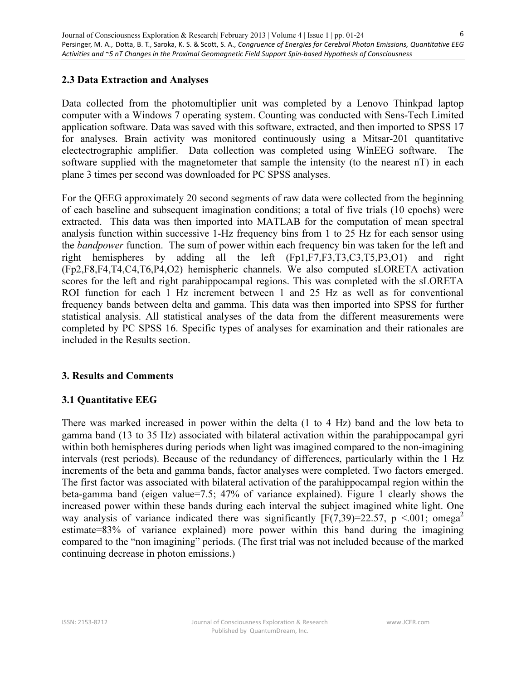### 2.3 Data Extraction and Analyses

Data collected from the photomultiplier unit was completed by a Lenovo Thinkpad laptop computer with a Windows 7 operating system. Counting was conducted with Sens-Tech Limited application software. Data was saved with this software, extracted, and then imported to SPSS 17 for analyses. Brain activity was monitored continuously using a Mitsar-201 quantitative electectrographic amplifier. Data collection was completed using WinEEG software. The software supplied with the magnetometer that sample the intensity (to the nearest nT) in each plane 3 times per second was downloaded for PC SPSS analyses.

For the QEEG approximately 20 second segments of raw data were collected from the beginning of each baseline and subsequent imagination conditions; a total of five trials (10 epochs) were extracted. This data was then imported into MATLAB for the computation of mean spectral analysis function within successive 1-Hz frequency bins from 1 to 25 Hz for each sensor using the *bandpower* function. The sum of power within each frequency bin was taken for the left and right hemispheres by adding all the left (Fp1,F7,F3,T3,C3,T5,P3,O1) and right (Fp2,F8,F4,T4,C4,T6,P4,O2) hemispheric channels. We also computed sLORETA activation scores for the left and right parahippocampal regions. This was completed with the sLORETA ROI function for each 1 Hz increment between 1 and 25 Hz as well as for conventional frequency bands between delta and gamma. This data was then imported into SPSS for further statistical analysis. All statistical analyses of the data from the different measurements were completed by PC SPSS 16. Specific types of analyses for examination and their rationales are included in the Results section.

#### 3. Results and Comments

# 3.1 Quantitative EEG

There was marked increased in power within the delta (1 to 4 Hz) band and the low beta to gamma band (13 to 35 Hz) associated with bilateral activation within the parahippocampal gyri within both hemispheres during periods when light was imagined compared to the non-imagining intervals (rest periods). Because of the redundancy of differences, particularly within the 1 Hz increments of the beta and gamma bands, factor analyses were completed. Two factors emerged. The first factor was associated with bilateral activation of the parahippocampal region within the beta-gamma band (eigen value=7.5; 47% of variance explained). Figure 1 clearly shows the increased power within these bands during each interval the subject imagined white light. One way analysis of variance indicated there was significantly  $[F(7,39)=22.57, p \le 0.001; \text{omega}^2]$ estimate=83% of variance explained) more power within this band during the imagining compared to the "non imagining" periods. (The first trial was not included because of the marked continuing decrease in photon emissions.)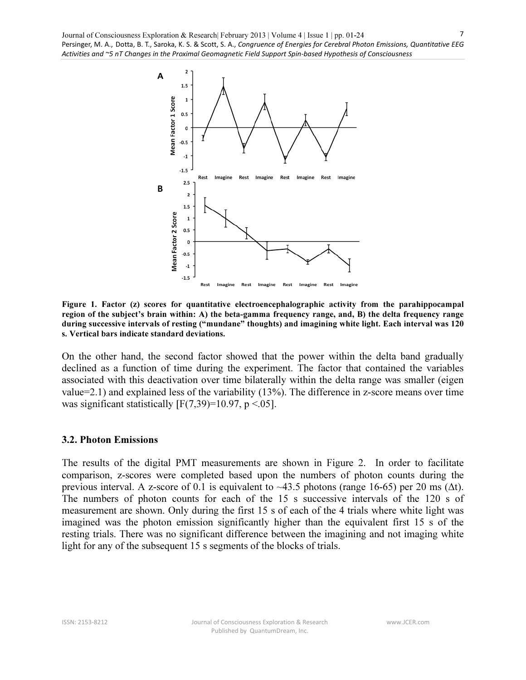

Figure 1. Factor (z) scores for quantitative electroencephalographic activity from the parahippocampal region of the subject's brain within: A) the beta-gamma frequency range, and, B) the delta frequency range during successive intervals of resting ("mundane" thoughts) and imagining white light. Each interval was 120 s. Vertical bars indicate standard deviations.

On the other hand, the second factor showed that the power within the delta band gradually declined as a function of time during the experiment. The factor that contained the variables associated with this deactivation over time bilaterally within the delta range was smaller (eigen value=2.1) and explained less of the variability (13%). The difference in z-score means over time was significant statistically  $[F(7,39)=10.97, p < .05]$ .

#### 3.2. Photon Emissions

The results of the digital PMT measurements are shown in Figure 2. In order to facilitate comparison, z-scores were completed based upon the numbers of photon counts during the previous interval. A z-score of 0.1 is equivalent to ~43.5 photons (range 16-65) per 20 ms ( $\Delta t$ ). The numbers of photon counts for each of the 15 s successive intervals of the 120 s of measurement are shown. Only during the first 15 s of each of the 4 trials where white light was imagined was the photon emission significantly higher than the equivalent first 15 s of the resting trials. There was no significant difference between the imagining and not imaging white light for any of the subsequent 15 s segments of the blocks of trials.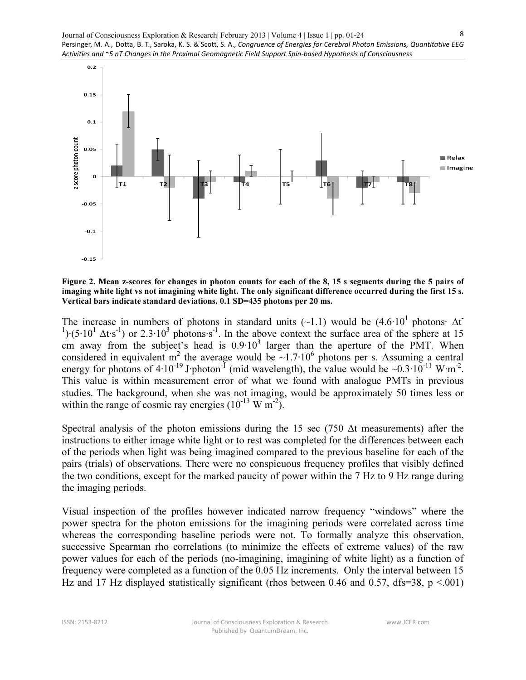

Figure 2. Mean z-scores for changes in photon counts for each of the 8, 15 s segments during the 5 pairs of imaging white light vs not imagining white light. The only significant difference occurred during the first 15 s. Vertical bars indicate standard deviations. 0.1 SD=435 photons per 20 ms.

The increase in numbers of photons in standard units (~1.1) would be  $(4.6 \cdot 10^1$  photons∙  $\Delta t$ <sup>1</sup>)⋅(5⋅10<sup>1</sup>  $\Delta$ t⋅s<sup>-1</sup>)</sup> or 2.3⋅10<sup>3</sup> photons⋅s<sup>-1</sup>. In the above context the surface area of the sphere at 15 cm away from the subject's head is  $0.9 \cdot 10^3$  larger than the aperture of the PMT. When considered in equivalent m<sup>2</sup> the average would be ~1.7⋅10<sup>6</sup> photons per s. Assuming a central energy for photons of 4⋅10<sup>-19</sup> J⋅photon<sup>-1</sup> (mid wavelength), the value would be ~0.3⋅10<sup>-11</sup> W⋅m<sup>-2</sup>. This value is within measurement error of what we found with analogue PMTs in previous studies. The background, when she was not imaging, would be approximately 50 times less or within the range of cosmic ray energies  $(10^{-13} \text{ W m}^2)$ .

Spectral analysis of the photon emissions during the 15 sec (750 Δt measurements) after the instructions to either image white light or to rest was completed for the differences between each of the periods when light was being imagined compared to the previous baseline for each of the pairs (trials) of observations. There were no conspicuous frequency profiles that visibly defined the two conditions, except for the marked paucity of power within the 7 Hz to 9 Hz range during the imaging periods.

Visual inspection of the profiles however indicated narrow frequency "windows" where the power spectra for the photon emissions for the imagining periods were correlated across time whereas the corresponding baseline periods were not. To formally analyze this observation, successive Spearman rho correlations (to minimize the effects of extreme values) of the raw power values for each of the periods (no-imagining, imagining of white light) as a function of frequency were completed as a function of the 0.05 Hz increments. Only the interval between 15 Hz and 17 Hz displayed statistically significant (rhos between 0.46 and 0.57, dfs=38,  $p \le 0.001$ )

www.JCER.com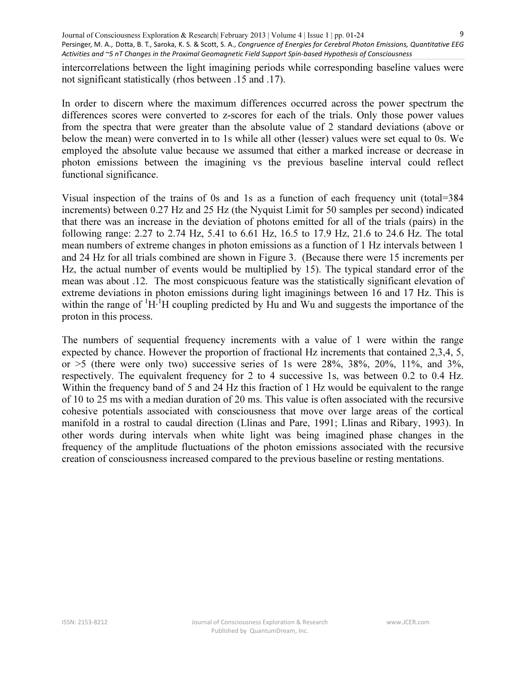intercorrelations between the light imagining periods while corresponding baseline values were not significant statistically (rhos between .15 and .17).

In order to discern where the maximum differences occurred across the power spectrum the differences scores were converted to z-scores for each of the trials. Only those power values from the spectra that were greater than the absolute value of 2 standard deviations (above or below the mean) were converted in to 1s while all other (lesser) values were set equal to 0s. We employed the absolute value because we assumed that either a marked increase or decrease in photon emissions between the imagining vs the previous baseline interval could reflect functional significance.

Visual inspection of the trains of 0s and 1s as a function of each frequency unit (total=384 increments) between 0.27 Hz and 25 Hz (the Nyquist Limit for 50 samples per second) indicated that there was an increase in the deviation of photons emitted for all of the trials (pairs) in the following range: 2.27 to 2.74 Hz, 5.41 to 6.61 Hz, 16.5 to 17.9 Hz, 21.6 to 24.6 Hz. The total mean numbers of extreme changes in photon emissions as a function of 1 Hz intervals between 1 and 24 Hz for all trials combined are shown in Figure 3. (Because there were 15 increments per Hz, the actual number of events would be multiplied by 15). The typical standard error of the mean was about .12. The most conspicuous feature was the statistically significant elevation of extreme deviations in photon emissions during light imaginings between 16 and 17 Hz. This is within the range of <sup>1</sup>H⋅<sup>1</sup>H coupling predicted by Hu and Wu and suggests the importance of the proton in this process.

The numbers of sequential frequency increments with a value of 1 were within the range expected by chance. However the proportion of fractional Hz increments that contained 2,3,4, 5, or  $>5$  (there were only two) successive series of 1s were 28%, 38%, 20%, 11%, and 3%, respectively. The equivalent frequency for 2 to 4 successive 1s, was between 0.2 to 0.4 Hz. Within the frequency band of 5 and 24 Hz this fraction of 1 Hz would be equivalent to the range of 10 to 25 ms with a median duration of 20 ms. This value is often associated with the recursive cohesive potentials associated with consciousness that move over large areas of the cortical manifold in a rostral to caudal direction (Llinas and Pare, 1991; Llinas and Ribary, 1993). In other words during intervals when white light was being imagined phase changes in the frequency of the amplitude fluctuations of the photon emissions associated with the recursive creation of consciousness increased compared to the previous baseline or resting mentations.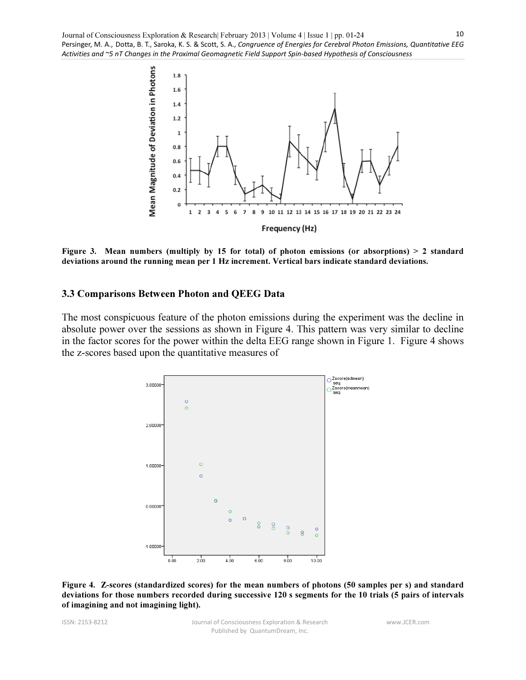

Figure 3. Mean numbers (multiply by 15 for total) of photon emissions (or absorptions) > 2 standard deviations around the running mean per 1 Hz increment. Vertical bars indicate standard deviations.

#### 3.3 Comparisons Between Photon and QEEG Data

The most conspicuous feature of the photon emissions during the experiment was the decline in absolute power over the sessions as shown in Figure 4. This pattern was very similar to decline in the factor scores for the power within the delta EEG range shown in Figure 1. Figure 4 shows the z-scores based upon the quantitative measures of



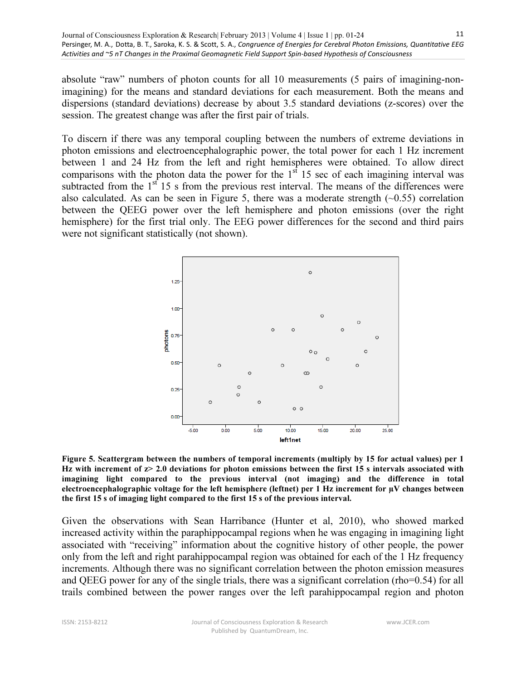absolute "raw" numbers of photon counts for all 10 measurements (5 pairs of imagining-nonimagining) for the means and standard deviations for each measurement. Both the means and dispersions (standard deviations) decrease by about 3.5 standard deviations (z-scores) over the session. The greatest change was after the first pair of trials.

To discern if there was any temporal coupling between the numbers of extreme deviations in photon emissions and electroencephalographic power, the total power for each 1 Hz increment between 1 and 24 Hz from the left and right hemispheres were obtained. To allow direct comparisons with the photon data the power for the  $1<sup>st</sup> 15$  sec of each imagining interval was subtracted from the  $1<sup>st</sup> 15$  s from the previous rest interval. The means of the differences were also calculated. As can be seen in Figure 5, there was a moderate strength  $(-0.55)$  correlation between the QEEG power over the left hemisphere and photon emissions (over the right hemisphere) for the first trial only. The EEG power differences for the second and third pairs were not significant statistically (not shown).



Figure 5. Scattergram between the numbers of temporal increments (multiply by 15 for actual values) per 1 Hz with increment of  $z > 2.0$  deviations for photon emissions between the first 15 s intervals associated with imagining light compared to the previous interval (not imaging) and the difference in total electroencephalographic voltage for the left hemisphere (leftnet) per 1 Hz increment for µV changes between the first 15 s of imaging light compared to the first 15 s of the previous interval.

Given the observations with Sean Harribance (Hunter et al, 2010), who showed marked increased activity within the paraphippocampal regions when he was engaging in imagining light associated with "receiving" information about the cognitive history of other people, the power only from the left and right parahippocampal region was obtained for each of the 1 Hz frequency increments. Although there was no significant correlation between the photon emission measures and QEEG power for any of the single trials, there was a significant correlation (rho=0.54) for all trails combined between the power ranges over the left parahippocampal region and photon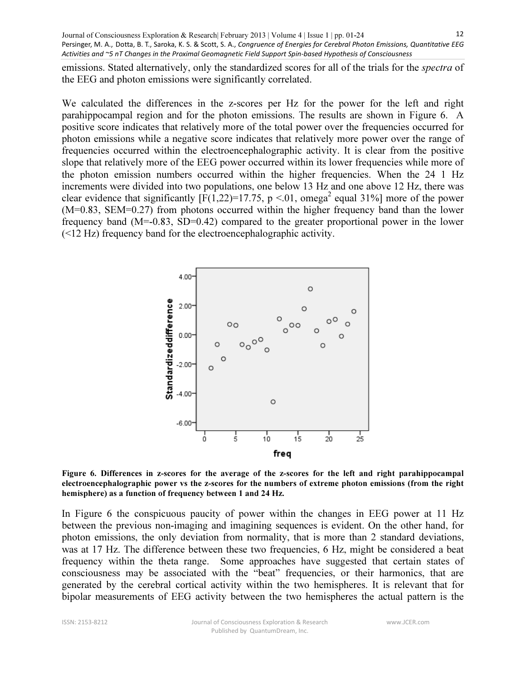emissions. Stated alternatively, only the standardized scores for all of the trials for the *spectra* of the EEG and photon emissions were significantly correlated.

We calculated the differences in the z-scores per Hz for the power for the left and right parahippocampal region and for the photon emissions. The results are shown in Figure 6. A positive score indicates that relatively more of the total power over the frequencies occurred for photon emissions while a negative score indicates that relatively more power over the range of frequencies occurred within the electroencephalographic activity. It is clear from the positive slope that relatively more of the EEG power occurred within its lower frequencies while more of the photon emission numbers occurred within the higher frequencies. When the 24 1 Hz increments were divided into two populations, one below 13 Hz and one above 12 Hz, there was clear evidence that significantly  $[F(1,22)=17.75, p < 0.01]$ , omega<sup>2</sup> equal 31%] more of the power (M=0.83, SEM=0.27) from photons occurred within the higher frequency band than the lower frequency band (M=-0.83, SD=0.42) compared to the greater proportional power in the lower (<12 Hz) frequency band for the electroencephalographic activity.



Figure 6. Differences in z-scores for the average of the z-scores for the left and right parahippocampal electroencephalographic power vs the z-scores for the numbers of extreme photon emissions (from the right hemisphere) as a function of frequency between 1 and 24 Hz.

In Figure 6 the conspicuous paucity of power within the changes in EEG power at 11 Hz between the previous non-imaging and imagining sequences is evident. On the other hand, for photon emissions, the only deviation from normality, that is more than 2 standard deviations, was at 17 Hz. The difference between these two frequencies, 6 Hz, might be considered a beat frequency within the theta range. Some approaches have suggested that certain states of consciousness may be associated with the "beat" frequencies, or their harmonics, that are generated by the cerebral cortical activity within the two hemispheres. It is relevant that for bipolar measurements of EEG activity between the two hemispheres the actual pattern is the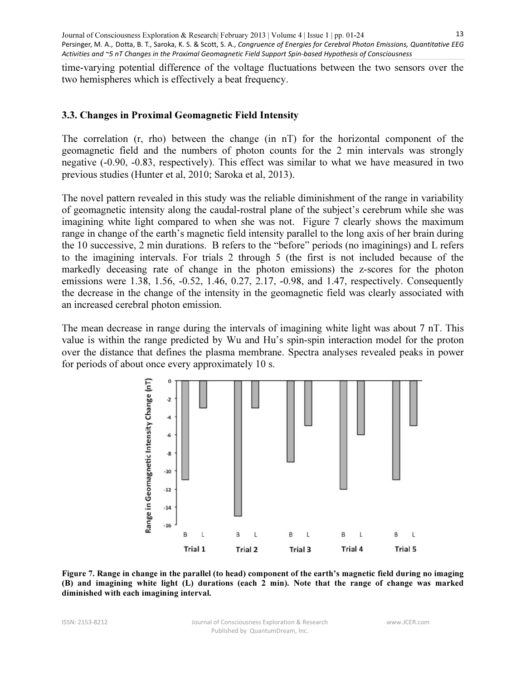time-varying potential difference of the voltage fluctuations between the two sensors over the two hemispheres which is effectively a beat frequency.

#### 3.3. Changes in Proximal Geomagnetic Field Intensity

The correlation (r, rho) between the change (in nT) for the horizontal component of the geomagnetic field and the numbers of photon counts for the 2 min intervals was strongly negative (-0.90, -0.83, respectively). This effect was similar to what we have measured in two previous studies (Hunter et al, 2010; Saroka et al, 2013).

The novel pattern revealed in this study was the reliable diminishment of the range in variability of geomagnetic intensity along the caudal-rostral plane of the subject's cerebrum while she was imagining white light compared to when she was not. Figure 7 clearly shows the maximum range in change of the earth's magnetic field intensity parallel to the long axis of her brain during the 10 successive, 2 min durations. B refers to the "before" periods (no imaginings) and L refers to the imagining intervals. For trials 2 through 5 (the first is not included because of the markedly deceasing rate of change in the photon emissions) the z-scores for the photon emissions were 1.38, 1.56, -0.52, 1.46, 0.27, 2.17, -0.98, and 1.47, respectively. Consequently the decrease in the change of the intensity in the geomagnetic field was clearly associated with an increased cerebral photon emission.

The mean decrease in range during the intervals of imagining white light was about 7 nT. This value is within the range predicted by Wu and Hu's spin-spin interaction model for the proton over the distance that defines the plasma membrane. Spectra analyses revealed peaks in power for periods of about once every approximately 10 s.



Figure 7. Range in change in the parallel (to head) component of the earth's magnetic field during no imaging (B) and imagining white light (L) durations (each 2 min). Note that the range of change was marked diminished with each imagining interval.

www.JCER.com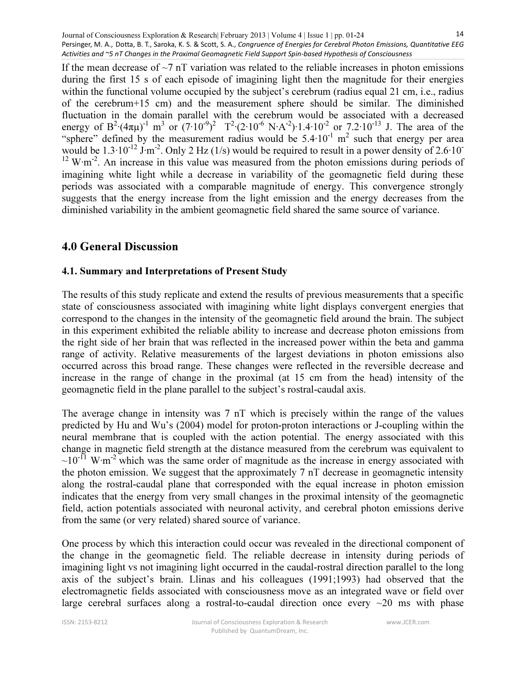If the mean decrease of  $\sim$ 7 nT variation was related to the reliable increases in photon emissions during the first 15 s of each episode of imagining light then the magnitude for their energies within the functional volume occupied by the subject's cerebrum (radius equal 21 cm, i.e., radius of the cerebrum+15 cm) and the measurement sphere should be similar. The diminished fluctuation in the domain parallel with the cerebrum would be associated with a decreased energy of B<sup>2</sup>⋅(4πμ)<sup>-1</sup> m<sup>3</sup> or (7⋅10<sup>-9</sup>)<sup>2</sup> T<sup>2</sup>⋅(2⋅10<sup>-6</sup> N⋅A<sup>-2</sup>)⋅1.4⋅10<sup>-2</sup> or 7.2⋅10<sup>-13</sup> J. The area of the "sphere" defined by the measurement radius would be  $5.4 \cdot 10^{-1}$  m<sup>2</sup> such that energy per area would be  $1.3 \cdot 10^{-12}$  J⋅m<sup>-2</sup>. Only 2 Hz (1/s) would be required to result in a power density of 2.6⋅10<sup>-</sup> <sup>12</sup> W⋅m<sup>-2</sup>. An increase in this value was measured from the photon emissions during periods of imagining white light while a decrease in variability of the geomagnetic field during these periods was associated with a comparable magnitude of energy. This convergence strongly suggests that the energy increase from the light emission and the energy decreases from the diminished variability in the ambient geomagnetic field shared the same source of variance.

# 4.0 General Discussion

#### 4.1. Summary and Interpretations of Present Study

The results of this study replicate and extend the results of previous measurements that a specific state of consciousness associated with imagining white light displays convergent energies that correspond to the changes in the intensity of the geomagnetic field around the brain. The subject in this experiment exhibited the reliable ability to increase and decrease photon emissions from the right side of her brain that was reflected in the increased power within the beta and gamma range of activity. Relative measurements of the largest deviations in photon emissions also occurred across this broad range. These changes were reflected in the reversible decrease and increase in the range of change in the proximal (at 15 cm from the head) intensity of the geomagnetic field in the plane parallel to the subject's rostral-caudal axis.

The average change in intensity was 7 nT which is precisely within the range of the values predicted by Hu and Wu's (2004) model for proton-proton interactions or J-coupling within the neural membrane that is coupled with the action potential. The energy associated with this change in magnetic field strength at the distance measured from the cerebrum was equivalent to  $~10^{-11}$  W⋅m<sup>-2</sup> which was the same order of magnitude as the increase in energy associated with the photon emission. We suggest that the approximately 7 nT decrease in geomagnetic intensity along the rostral-caudal plane that corresponded with the equal increase in photon emission indicates that the energy from very small changes in the proximal intensity of the geomagnetic field, action potentials associated with neuronal activity, and cerebral photon emissions derive from the same (or very related) shared source of variance.

One process by which this interaction could occur was revealed in the directional component of the change in the geomagnetic field. The reliable decrease in intensity during periods of imagining light vs not imagining light occurred in the caudal-rostral direction parallel to the long axis of the subject's brain. Llinas and his colleagues (1991;1993) had observed that the electromagnetic fields associated with consciousness move as an integrated wave or field over large cerebral surfaces along a rostral-to-caudal direction once every  $\sim$ 20 ms with phase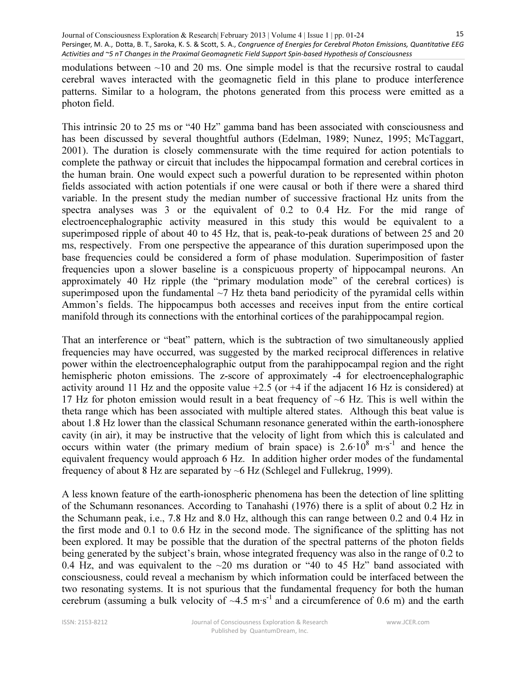modulations between  $\sim$ 10 and 20 ms. One simple model is that the recursive rostral to caudal cerebral waves interacted with the geomagnetic field in this plane to produce interference patterns. Similar to a hologram, the photons generated from this process were emitted as a photon field.

This intrinsic 20 to 25 ms or "40 Hz" gamma band has been associated with consciousness and has been discussed by several thoughtful authors (Edelman, 1989; Nunez, 1995; McTaggart, 2001). The duration is closely commensurate with the time required for action potentials to complete the pathway or circuit that includes the hippocampal formation and cerebral cortices in the human brain. One would expect such a powerful duration to be represented within photon fields associated with action potentials if one were causal or both if there were a shared third variable. In the present study the median number of successive fractional Hz units from the spectra analyses was 3 or the equivalent of 0.2 to 0.4 Hz. For the mid range of electroencephalographic activity measured in this study this would be equivalent to a superimposed ripple of about 40 to 45 Hz, that is, peak-to-peak durations of between 25 and 20 ms, respectively. From one perspective the appearance of this duration superimposed upon the base frequencies could be considered a form of phase modulation. Superimposition of faster frequencies upon a slower baseline is a conspicuous property of hippocampal neurons. An approximately 40 Hz ripple (the "primary modulation mode" of the cerebral cortices) is superimposed upon the fundamental  $\sim$ 7 Hz theta band periodicity of the pyramidal cells within Ammon's fields. The hippocampus both accesses and receives input from the entire cortical manifold through its connections with the entorhinal cortices of the parahippocampal region.

That an interference or "beat" pattern, which is the subtraction of two simultaneously applied frequencies may have occurred, was suggested by the marked reciprocal differences in relative power within the electroencephalographic output from the parahippocampal region and the right hemispheric photon emissions. The z-score of approximately -4 for electroencephalographic activity around 11 Hz and the opposite value  $+2.5$  (or  $+4$  if the adjacent 16 Hz is considered) at 17 Hz for photon emission would result in a beat frequency of ~6 Hz. This is well within the theta range which has been associated with multiple altered states. Although this beat value is about 1.8 Hz lower than the classical Schumann resonance generated within the earth-ionosphere cavity (in air), it may be instructive that the velocity of light from which this is calculated and occurs within water (the primary medium of brain space) is  $2.6 \cdot 10^8$  m⋅s<sup>-1</sup> and hence the equivalent frequency would approach 6 Hz. In addition higher order modes of the fundamental frequency of about 8 Hz are separated by ~6 Hz (Schlegel and Fullekrug, 1999).

A less known feature of the earth-ionospheric phenomena has been the detection of line splitting of the Schumann resonances. According to Tanahashi (1976) there is a split of about 0.2 Hz in the Schumann peak, i.e., 7.8 Hz and 8.0 Hz, although this can range between 0.2 and 0.4 Hz in the first mode and 0.1 to 0.6 Hz in the second mode. The significance of the splitting has not been explored. It may be possible that the duration of the spectral patterns of the photon fields being generated by the subject's brain, whose integrated frequency was also in the range of 0.2 to 0.4 Hz, and was equivalent to the  $\sim$ 20 ms duration or "40 to 45 Hz" band associated with consciousness, could reveal a mechanism by which information could be interfaced between the two resonating systems. It is not spurious that the fundamental frequency for both the human cerebrum (assuming a bulk velocity of  $\sim$ 4.5 m⋅s<sup>-1</sup> and a circumference of 0.6 m) and the earth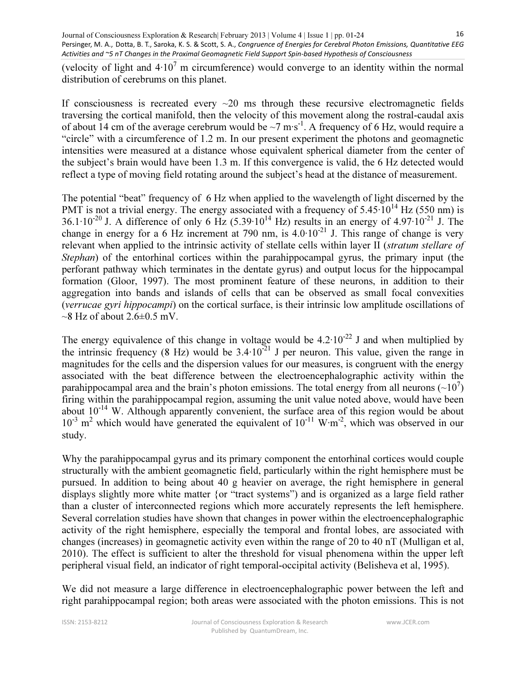(velocity of light and  $4·10<sup>7</sup>$  m circumference) would converge to an identity within the normal distribution of cerebrums on this planet.

If consciousness is recreated every  $\sim$ 20 ms through these recursive electromagnetic fields traversing the cortical manifold, then the velocity of this movement along the rostral-caudal axis of about 14 cm of the average cerebrum would be ~7 m⋅s<sup>-1</sup>. A frequency of 6 Hz, would require a "circle" with a circumference of 1.2 m. In our present experiment the photons and geomagnetic intensities were measured at a distance whose equivalent spherical diameter from the center of the subject's brain would have been 1.3 m. If this convergence is valid, the 6 Hz detected would reflect a type of moving field rotating around the subject's head at the distance of measurement.

The potential "beat" frequency of 6 Hz when applied to the wavelength of light discerned by the PMT is not a trivial energy. The energy associated with a frequency of  $5.45 \cdot 10^{14}$  Hz (550 nm) is 36.1⋅10<sup>-20</sup> J. A difference of only 6 Hz (5.39⋅10<sup>14</sup> Hz) results in an energy of 4.97⋅10<sup>-21</sup> J. The change in energy for a 6 Hz increment at 790 nm, is  $4.0 \cdot 10^{-21}$  J. This range of change is very relevant when applied to the intrinsic activity of stellate cells within layer II (stratum stellare of Stephan) of the entorhinal cortices within the parahippocampal gyrus, the primary input (the perforant pathway which terminates in the dentate gyrus) and output locus for the hippocampal formation (Gloor, 1997). The most prominent feature of these neurons, in addition to their aggregation into bands and islands of cells that can be observed as small focal convexities (verrucae gyri hippocampi) on the cortical surface, is their intrinsic low amplitude oscillations of  $\sim$ 8 Hz of about 2.6 $\pm$ 0.5 mV.

The energy equivalence of this change in voltage would be  $4.2 \cdot 10^{-22}$  J and when multiplied by the intrinsic frequency (8 Hz) would be  $3.4 \cdot 10^{-21}$  J per neuron. This value, given the range in magnitudes for the cells and the dispersion values for our measures, is congruent with the energy associated with the beat difference between the electroencephalographic activity within the parahippocampal area and the brain's photon emissions. The total energy from all neurons  $(\sim 10^7)$ firing within the parahippocampal region, assuming the unit value noted above, would have been about  $10^{-14}$  W. Although apparently convenient, the surface area of this region would be about  $10^{-3}$  m<sup>2</sup> which would have generated the equivalent of  $10^{-11}$  W⋅m<sup>-2</sup>, which was observed in our study.

Why the parahippocampal gyrus and its primary component the entorhinal cortices would couple structurally with the ambient geomagnetic field, particularly within the right hemisphere must be pursued. In addition to being about 40 g heavier on average, the right hemisphere in general displays slightly more white matter {or "tract systems") and is organized as a large field rather than a cluster of interconnected regions which more accurately represents the left hemisphere. Several correlation studies have shown that changes in power within the electroencephalographic activity of the right hemisphere, especially the temporal and frontal lobes, are associated with changes (increases) in geomagnetic activity even within the range of 20 to 40 nT (Mulligan et al, 2010). The effect is sufficient to alter the threshold for visual phenomena within the upper left peripheral visual field, an indicator of right temporal-occipital activity (Belisheva et al, 1995).

We did not measure a large difference in electroencephalographic power between the left and right parahippocampal region; both areas were associated with the photon emissions. This is not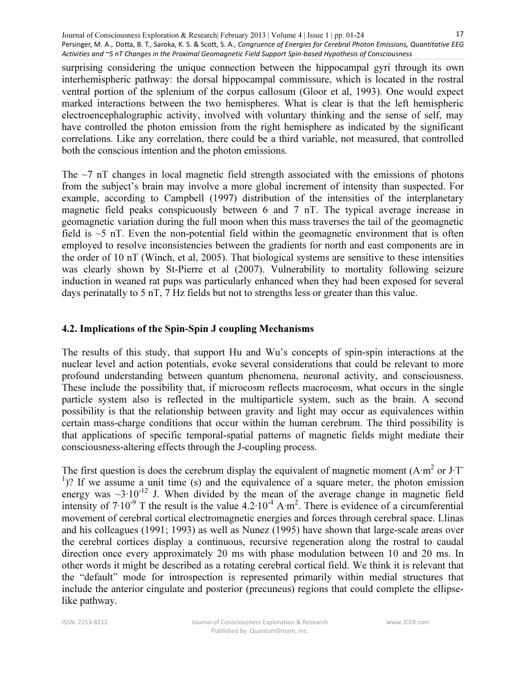surprising considering the unique connection between the hippocampal gyri through its own interhemispheric pathway: the dorsal hippocampal commissure, which is located in the rostral ventral portion of the splenium of the corpus callosum (Gloor et al, 1993). One would expect marked interactions between the two hemispheres. What is clear is that the left hemispheric electroencephalographic activity, involved with voluntary thinking and the sense of self, may have controlled the photon emission from the right hemisphere as indicated by the significant correlations. Like any correlation, there could be a third variable, not measured, that controlled both the conscious intention and the photon emissions.

The  $\sim$ 7 nT changes in local magnetic field strength associated with the emissions of photons from the subject's brain may involve a more global increment of intensity than suspected. For example, according to Campbell (1997) distribution of the intensities of the interplanetary magnetic field peaks conspicuously between 6 and 7 nT. The typical average increase in geomagnetic variation during the full moon when this mass traverses the tail of the geomagnetic field is  $\sim$ 5 nT. Even the non-potential field within the geomagnetic environment that is often employed to resolve inconsistencies between the gradients for north and east components are in the order of 10 nT (Winch, et al, 2005). That biological systems are sensitive to these intensities was clearly shown by St-Pierre et al (2007). Vulnerability to mortality following seizure induction in weaned rat pups was particularly enhanced when they had been exposed for several days perinatally to 5 nT, 7 Hz fields but not to strengths less or greater than this value.

# 4.2. Implications of the Spin-Spin J coupling Mechanisms

The results of this study, that support Hu and Wu's concepts of spin-spin interactions at the nuclear level and action potentials, evoke several considerations that could be relevant to more profound understanding between quantum phenomena, neuronal activity, and consciousness. These include the possibility that, if microcosm reflects macrocosm, what occurs in the single particle system also is reflected in the multiparticle system, such as the brain. A second possibility is that the relationship between gravity and light may occur as equivalences within certain mass-charge conditions that occur within the human cerebrum. The third possibility is that applications of specific temporal-spatial patterns of magnetic fields might mediate their consciousness-altering effects through the J-coupling process.

The first question is does the cerebrum display the equivalent of magnetic moment (A⋅m<sup>2</sup> or J⋅T <sup>1</sup>)? If we assume a unit time (s) and the equivalence of a square meter, the photon emission energy was  $\sim$ 3⋅10<sup>-12</sup> J. When divided by the mean of the average change in magnetic field intensity of  $7 \cdot 10^{-9}$  T the result is the value 4.2 $\cdot 10^{-4}$  A⋅m<sup>2</sup>. There is evidence of a circumferential movement of cerebral cortical electromagnetic energies and forces through cerebral space. Llinas and his colleagues (1991; 1993) as well as Nunez (1995) have shown that large-scale areas over the cerebral cortices display a continuous, recursive regeneration along the rostral to caudal direction once every approximately 20 ms with phase modulation between 10 and 20 ms. In other words it might be described as a rotating cerebral cortical field. We think it is relevant that the "default" mode for introspection is represented primarily within medial structures that include the anterior cingulate and posterior (precuneus) regions that could complete the ellipselike pathway.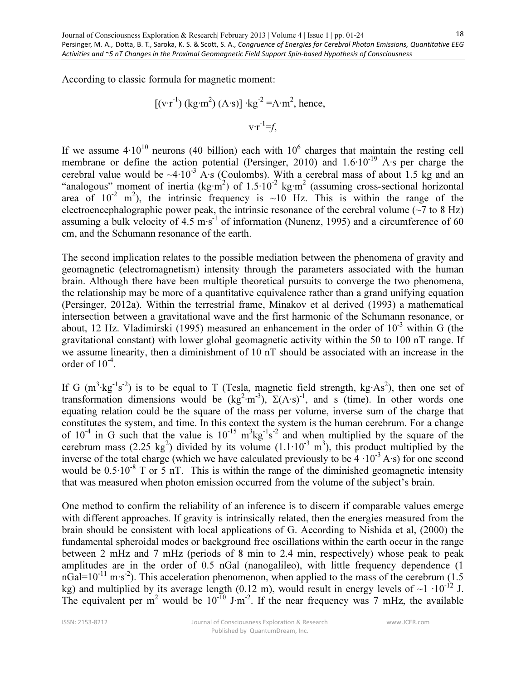According to classic formula for magnetic moment:

$$
[(v \cdot r^{-1}) (kg \cdot m^{2}) (A \cdot s)] \cdot kg^{-2} = A \cdot m^{2}, \text{ hence,}
$$

$$
v \cdot r^{-1} = f,
$$

If we assume  $4 \cdot 10^{10}$  neurons (40 billion) each with  $10^6$  charges that maintain the resting cell membrane or define the action potential (Persinger, 2010) and 1.6⋅10<sup>-19</sup> A⋅s per charge the cerebral value would be  $\sim$ 4⋅10<sup>-3</sup> A⋅s (Coulombs). With a cerebral mass of about 1.5 kg and an "analogous" moment of inertia (kg⋅m<sup>2</sup>) of 1.5⋅10<sup>-2</sup> kg⋅m<sup>2</sup> (assuming cross-sectional horizontal area of  $10^{-2}$  m<sup>2</sup>), the intrinsic frequency is ~10 Hz. This is within the range of the electroencephalographic power peak, the intrinsic resonance of the cerebral volume ( $\sim$ 7 to 8 Hz) assuming a bulk velocity of  $4.5 \text{ m} \cdot \text{s}^{-1}$  of information (Nunenz, 1995) and a circumference of 60 cm, and the Schumann resonance of the earth.

The second implication relates to the possible mediation between the phenomena of gravity and geomagnetic (electromagnetism) intensity through the parameters associated with the human brain. Although there have been multiple theoretical pursuits to converge the two phenomena, the relationship may be more of a quantitative equivalence rather than a grand unifying equation (Persinger, 2012a). Within the terrestrial frame, Minakov et al derived (1993) a mathematical intersection between a gravitational wave and the first harmonic of the Schumann resonance, or about, 12 Hz. Vladimirski (1995) measured an enhancement in the order of  $10^{-3}$  within G (the gravitational constant) with lower global geomagnetic activity within the 50 to 100 nT range. If we assume linearity, then a diminishment of 10 nT should be associated with an increase in the order of  $10^{-4}$ .

If G  $(m^3 \text{·kg}^{-1} s^{-2})$  is to be equal to T (Tesla, magnetic field strength, kg⋅As<sup>2</sup>), then one set of transformation dimensions would be  $(kg^2 \cdot m^{-3})$ ,  $\Sigma(A \cdot s)^{-1}$ , and s (time). In other words one equating relation could be the square of the mass per volume, inverse sum of the charge that constitutes the system, and time. In this context the system is the human cerebrum. For a change of  $10^{-4}$  in G such that the value is  $10^{-15}$  m<sup>3</sup>kg<sup>-1</sup>s<sup>-2</sup> and when multiplied by the square of the cerebrum mass (2.25 kg<sup>2</sup>) divided by its volume (1.1⋅10<sup>-3</sup> m<sup>3</sup>), this product multiplied by the inverse of the total charge (which we have calculated previously to be  $4 \cdot 10^{-3}$  A⋅s) for one second would be  $0.5 \cdot 10^{-8}$  T or 5 nT. This is within the range of the diminished geomagnetic intensity that was measured when photon emission occurred from the volume of the subject's brain.

One method to confirm the reliability of an inference is to discern if comparable values emerge with different approaches. If gravity is intrinsically related, then the energies measured from the brain should be consistent with local applications of G. According to Nishida et al, (2000) the fundamental spheroidal modes or background free oscillations within the earth occur in the range between 2 mHz and 7 mHz (periods of 8 min to 2.4 min, respectively) whose peak to peak amplitudes are in the order of 0.5 nGal (nanogalileo), with little frequency dependence (1 nGal=10<sup>-11</sup> m⋅s<sup>-2</sup>). This acceleration phenomenon, when applied to the mass of the cerebrum (1.5 kg) and multiplied by its average length (0.12 m), would result in energy levels of ~1  $\cdot 10^{-12}$  J. The equivalent per m<sup>2</sup> would be 10<sup>-10</sup> J⋅m<sup>-2</sup>. If the near frequency was 7 mHz, the available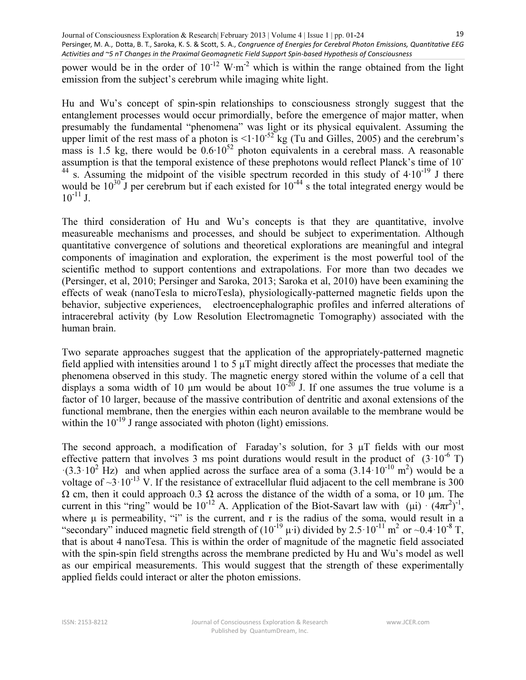power would be in the order of  $10^{-12}$  W⋅m<sup>-2</sup> which is within the range obtained from the light emission from the subject's cerebrum while imaging white light.

Hu and Wu's concept of spin-spin relationships to consciousness strongly suggest that the entanglement processes would occur primordially, before the emergence of major matter, when presumably the fundamental "phenomena" was light or its physical equivalent. Assuming the upper limit of the rest mass of a photon is  $\leq 1 \cdot 10^{-52}$  kg (Tu and Gilles, 2005) and the cerebrum's mass is 1.5 kg, there would be  $0.6 \cdot 10^{52}$  photon equivalents in a cerebral mass. A reasonable assumption is that the temporal existence of these prephotons would reflect Planck's time of 10- <sup>44</sup> s. Assuming the midpoint of the visible spectrum recorded in this study of  $4·10<sup>-19</sup>$  J there would be  $10^{30}$  J per cerebrum but if each existed for  $10^{-44}$  s the total integrated energy would be  $10^{-11}$  J.

The third consideration of Hu and Wu's concepts is that they are quantitative, involve measureable mechanisms and processes, and should be subject to experimentation. Although quantitative convergence of solutions and theoretical explorations are meaningful and integral components of imagination and exploration, the experiment is the most powerful tool of the scientific method to support contentions and extrapolations. For more than two decades we (Persinger, et al, 2010; Persinger and Saroka, 2013; Saroka et al, 2010) have been examining the effects of weak (nanoTesla to microTesla), physiologically-patterned magnetic fields upon the behavior, subjective experiences, electroencephalographic profiles and inferred alterations of intracerebral activity (by Low Resolution Electromagnetic Tomography) associated with the human brain.

Two separate approaches suggest that the application of the appropriately-patterned magnetic field applied with intensities around 1 to 5 μT might directly affect the processes that mediate the phenomena observed in this study. The magnetic energy stored within the volume of a cell that displays a soma width of 10  $\mu$ m would be about 10<sup>-20</sup> J. If one assumes the true volume is a factor of 10 larger, because of the massive contribution of dentritic and axonal extensions of the functional membrane, then the energies within each neuron available to the membrane would be within the  $10^{-19}$  J range associated with photon (light) emissions.

The second approach, a modification of Faraday's solution, for 3 μT fields with our most effective pattern that involves 3 ms point durations would result in the product of  $(3.10^{-6} \text{ T})$  $\cdot$ (3.3 $\cdot$ 10<sup>2</sup> Hz) and when applied across the surface area of a soma (3.14 $\cdot$ 10<sup>-10</sup> m<sup>2</sup>) would be a voltage of  $\sim$ 3·10<sup>-13</sup> V. If the resistance of extracellular fluid adjacent to the cell membrane is 300  $Ω$  cm, then it could approach 0.3  $Ω$  across the distance of the width of a soma, or 10 μm. The current in this "ring" would be  $10^{-12}$  A. Application of the Biot-Savart law with  $(\mu i) \cdot (4\pi r^2)^{-1}$ , where μ is permeability, "i" is the current, and r is the radius of the soma, would result in a "secondary" induced magnetic field strength of  $(10^{-19} \mu \cdot i)$  divided by 2.5 $\cdot 10^{-11}$  m<sup>2</sup> or ~0.4 $\cdot 10^{-8}$  T, that is about 4 nanoTesa. This is within the order of magnitude of the magnetic field associated with the spin-spin field strengths across the membrane predicted by Hu and Wu's model as well as our empirical measurements. This would suggest that the strength of these experimentally applied fields could interact or alter the photon emissions.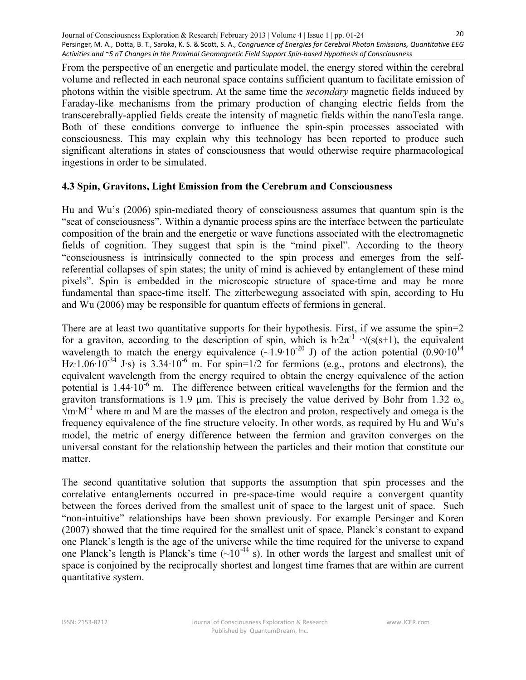From the perspective of an energetic and particulate model, the energy stored within the cerebral volume and reflected in each neuronal space contains sufficient quantum to facilitate emission of photons within the visible spectrum. At the same time the secondary magnetic fields induced by Faraday-like mechanisms from the primary production of changing electric fields from the transcerebrally-applied fields create the intensity of magnetic fields within the nanoTesla range. Both of these conditions converge to influence the spin-spin processes associated with consciousness. This may explain why this technology has been reported to produce such significant alterations in states of consciousness that would otherwise require pharmacological ingestions in order to be simulated.

#### 4.3 Spin, Gravitons, Light Emission from the Cerebrum and Consciousness

Hu and Wu's (2006) spin-mediated theory of consciousness assumes that quantum spin is the "seat of consciousness". Within a dynamic process spins are the interface between the particulate composition of the brain and the energetic or wave functions associated with the electromagnetic fields of cognition. They suggest that spin is the "mind pixel". According to the theory "consciousness is intrinsically connected to the spin process and emerges from the selfreferential collapses of spin states; the unity of mind is achieved by entanglement of these mind pixels". Spin is embedded in the microscopic structure of space-time and may be more fundamental than space-time itself. The zitterbewegung associated with spin, according to Hu and Wu (2006) may be responsible for quantum effects of fermions in general.

There are at least two quantitative supports for their hypothesis. First, if we assume the spin=2 for a graviton, according to the description of spin, which is h∙2π<sup>-1</sup>  $\sqrt{s(s+1)}$ , the equivalent wavelength to match the energy equivalence  $(-1.9 \cdot 10^{-20} \text{ J})$  of the action potential  $(0.90 \cdot 10^{14} \text{ J})$ Hz⋅1.06⋅10<sup>-34</sup> J⋅s) is 3.34⋅10<sup>-6</sup> m. For spin=1/2 for fermions (e.g., protons and electrons), the equivalent wavelength from the energy required to obtain the energy equivalence of the action potential is 1.44∙10-6 m. The difference between critical wavelengths for the fermion and the graviton transformations is 1.9  $\mu$ m. This is precisely the value derived by Bohr from 1.32  $\omega_0$ √m∙M-1 where m and M are the masses of the electron and proton, respectively and omega is the frequency equivalence of the fine structure velocity. In other words, as required by Hu and Wu's model, the metric of energy difference between the fermion and graviton converges on the universal constant for the relationship between the particles and their motion that constitute our matter.

The second quantitative solution that supports the assumption that spin processes and the correlative entanglements occurred in pre-space-time would require a convergent quantity between the forces derived from the smallest unit of space to the largest unit of space. Such "non-intuitive" relationships have been shown previously. For example Persinger and Koren (2007) showed that the time required for the smallest unit of space, Planck's constant to expand one Planck's length is the age of the universe while the time required for the universe to expand one Planck's length is Planck's time  $({}_{2}10^{-44}$  s). In other words the largest and smallest unit of space is conjoined by the reciprocally shortest and longest time frames that are within are current quantitative system.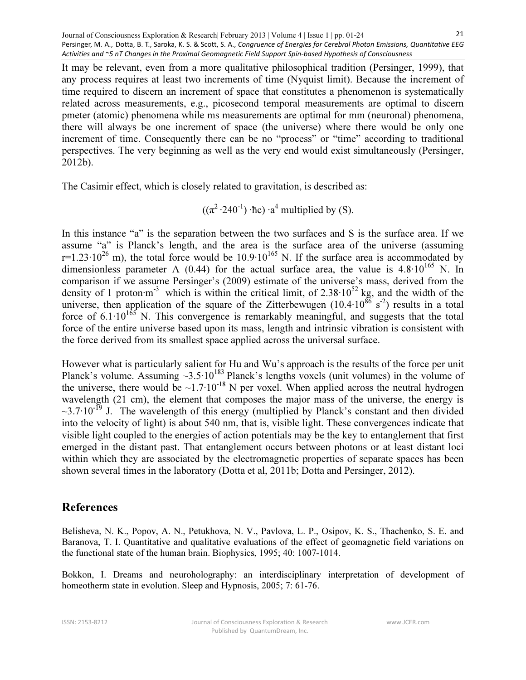It may be relevant, even from a more qualitative philosophical tradition (Persinger, 1999), that any process requires at least two increments of time (Nyquist limit). Because the increment of time required to discern an increment of space that constitutes a phenomenon is systematically related across measurements, e.g., picosecond temporal measurements are optimal to discern pmeter (atomic) phenomena while ms measurements are optimal for mm (neuronal) phenomena, there will always be one increment of space (the universe) where there would be only one increment of time. Consequently there can be no "process" or "time" according to traditional perspectives. The very beginning as well as the very end would exist simultaneously (Persinger, 2012b).

The Casimir effect, which is closely related to gravitation, is described as:

 $((\pi^2 \cdot 240^{-1}) \cdot \text{hc}) \cdot a^4$  multiplied by (S).

In this instance "a" is the separation between the two surfaces and S is the surface area. If we assume "a" is Planck's length, and the area is the surface area of the universe (assuming r=1.23⋅10<sup>26</sup> m), the total force would be 10.9⋅10<sup>165</sup> N. If the surface area is accommodated by dimensionless parameter A (0.44) for the actual surface area, the value is  $4.8 \cdot 10^{165}$  N. In comparison if we assume Persinger's (2009) estimate of the universe's mass, derived from the density of 1 proton⋅m<sup>-3</sup> which is within the critical limit, of 2.38⋅10<sup>52</sup> kg, and the width of the universe, then application of the square of the Zitterbewugen (10.4⋅10<sup>86</sup> s<sup>-2</sup>) results in a total force of  $6.1 \cdot 10^{165}$  N. This convergence is remarkably meaningful, and suggests that the total force of the entire universe based upon its mass, length and intrinsic vibration is consistent with the force derived from its smallest space applied across the universal surface.

However what is particularly salient for Hu and Wu's approach is the results of the force per unit Planck's volume. Assuming  $\sim$ 3.5⋅10<sup>183</sup> Planck's lengths voxels (unit volumes) in the volume of the universe, there would be ~1.7⋅10<sup>-18</sup> N per voxel. When applied across the neutral hydrogen wavelength (21 cm), the element that composes the major mass of the universe, the energy is  $\sim$ 3.7⋅10<sup>-19</sup> J. The wavelength of this energy (multiplied by Planck's constant and then divided into the velocity of light) is about 540 nm, that is, visible light. These convergences indicate that visible light coupled to the energies of action potentials may be the key to entanglement that first emerged in the distant past. That entanglement occurs between photons or at least distant loci within which they are associated by the electromagnetic properties of separate spaces has been shown several times in the laboratory (Dotta et al, 2011b; Dotta and Persinger, 2012).

# References

Belisheva, N. K., Popov, A. N., Petukhova, N. V., Pavlova, L. P., Osipov, K. S., Thachenko, S. E. and Baranova, T. I. Quantitative and qualitative evaluations of the effect of geomagnetic field variations on the functional state of the human brain. Biophysics, 1995; 40: 1007-1014.

Bokkon, I. Dreams and neuroholography: an interdisciplinary interpretation of development of homeotherm state in evolution. Sleep and Hypnosis, 2005; 7: 61-76.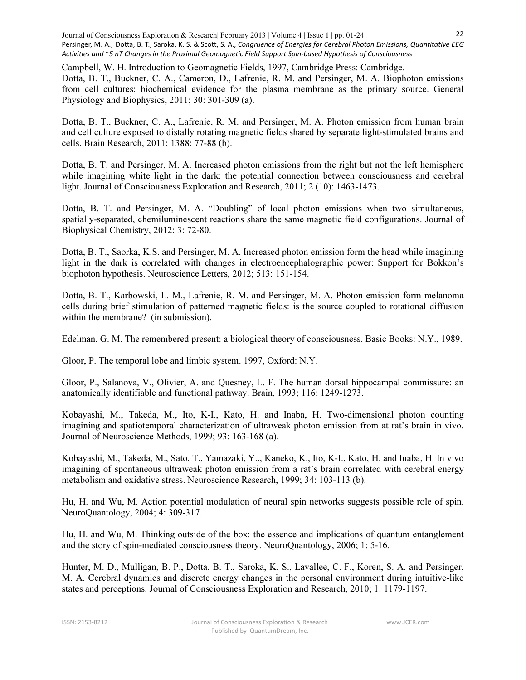Campbell, W. H. Introduction to Geomagnetic Fields, 1997, Cambridge Press: Cambridge. Dotta, B. T., Buckner, C. A., Cameron, D., Lafrenie, R. M. and Persinger, M. A. Biophoton emissions from cell cultures: biochemical evidence for the plasma membrane as the primary source. General Physiology and Biophysics, 2011; 30: 301-309 (a).

Dotta, B. T., Buckner, C. A., Lafrenie, R. M. and Persinger, M. A. Photon emission from human brain and cell culture exposed to distally rotating magnetic fields shared by separate light-stimulated brains and cells. Brain Research, 2011; 1388: 77-88 (b).

Dotta, B. T. and Persinger, M. A. Increased photon emissions from the right but not the left hemisphere while imagining white light in the dark: the potential connection between consciousness and cerebral light. Journal of Consciousness Exploration and Research, 2011; 2 (10): 1463-1473.

Dotta, B. T. and Persinger, M. A. "Doubling" of local photon emissions when two simultaneous, spatially-separated, chemiluminescent reactions share the same magnetic field configurations. Journal of Biophysical Chemistry, 2012; 3: 72-80.

Dotta, B. T., Saorka, K.S. and Persinger, M. A. Increased photon emission form the head while imagining light in the dark is correlated with changes in electroencephalographic power: Support for Bokkon's biophoton hypothesis. Neuroscience Letters, 2012; 513: 151-154.

Dotta, B. T., Karbowski, L. M., Lafrenie, R. M. and Persinger, M. A. Photon emission form melanoma cells during brief stimulation of patterned magnetic fields: is the source coupled to rotational diffusion within the membrane? (in submission).

Edelman, G. M. The remembered present: a biological theory of consciousness. Basic Books: N.Y., 1989.

Gloor, P. The temporal lobe and limbic system. 1997, Oxford: N.Y.

Gloor, P., Salanova, V., Olivier, A. and Quesney, L. F. The human dorsal hippocampal commissure: an anatomically identifiable and functional pathway. Brain, 1993; 116: 1249-1273.

Kobayashi, M., Takeda, M., Ito, K-I., Kato, H. and Inaba, H. Two-dimensional photon counting imagining and spatiotemporal characterization of ultraweak photon emission from at rat's brain in vivo. Journal of Neuroscience Methods, 1999; 93: 163-168 (a).

Kobayashi, M., Takeda, M., Sato, T., Yamazaki, Y.., Kaneko, K., Ito, K-I., Kato, H. and Inaba, H. In vivo imagining of spontaneous ultraweak photon emission from a rat's brain correlated with cerebral energy metabolism and oxidative stress. Neuroscience Research, 1999; 34: 103-113 (b).

Hu, H. and Wu, M. Action potential modulation of neural spin networks suggests possible role of spin. NeuroQuantology, 2004; 4: 309-317.

Hu, H. and Wu, M. Thinking outside of the box: the essence and implications of quantum entanglement and the story of spin-mediated consciousness theory. NeuroQuantology, 2006; 1: 5-16.

Hunter, M. D., Mulligan, B. P., Dotta, B. T., Saroka, K. S., Lavallee, C. F., Koren, S. A. and Persinger, M. A. Cerebral dynamics and discrete energy changes in the personal environment during intuitive-like states and perceptions. Journal of Consciousness Exploration and Research, 2010; 1: 1179-1197.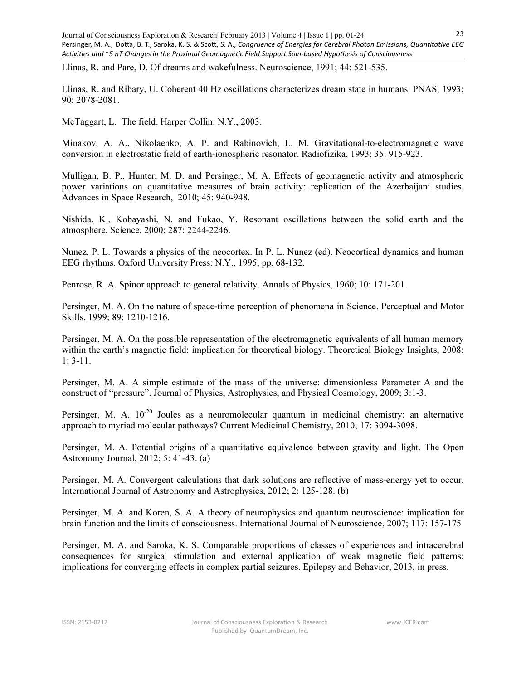Llinas, R. and Pare, D. Of dreams and wakefulness. Neuroscience, 1991; 44: 521-535.

Llinas, R. and Ribary, U. Coherent 40 Hz oscillations characterizes dream state in humans. PNAS, 1993; 90: 2078-2081.

McTaggart, L. The field. Harper Collin: N.Y., 2003.

Minakov, A. A., Nikolaenko, A. P. and Rabinovich, L. M. Gravitational-to-electromagnetic wave conversion in electrostatic field of earth-ionospheric resonator. Radiofizika, 1993; 35: 915-923.

Mulligan, B. P., Hunter, M. D. and Persinger, M. A. Effects of geomagnetic activity and atmospheric power variations on quantitative measures of brain activity: replication of the Azerbaijani studies. Advances in Space Research, 2010; 45: 940-948.

Nishida, K., Kobayashi, N. and Fukao, Y. Resonant oscillations between the solid earth and the atmosphere. Science, 2000; 287: 2244-2246.

Nunez, P. L. Towards a physics of the neocortex. In P. L. Nunez (ed). Neocortical dynamics and human EEG rhythms. Oxford University Press: N.Y., 1995, pp. 68-132.

Penrose, R. A. Spinor approach to general relativity. Annals of Physics, 1960; 10: 171-201.

Persinger, M. A. On the nature of space-time perception of phenomena in Science. Perceptual and Motor Skills, 1999; 89: 1210-1216.

Persinger, M. A. On the possible representation of the electromagnetic equivalents of all human memory within the earth's magnetic field: implication for theoretical biology. Theoretical Biology Insights, 2008; 1: 3-11.

Persinger, M. A. A simple estimate of the mass of the universe: dimensionless Parameter A and the construct of "pressure". Journal of Physics, Astrophysics, and Physical Cosmology, 2009; 3:1-3.

Persinger, M. A.  $10^{-20}$  Joules as a neuromolecular quantum in medicinal chemistry: an alternative approach to myriad molecular pathways? Current Medicinal Chemistry, 2010; 17: 3094-3098.

Persinger, M. A. Potential origins of a quantitative equivalence between gravity and light. The Open Astronomy Journal, 2012; 5: 41-43. (a)

Persinger, M. A. Convergent calculations that dark solutions are reflective of mass-energy yet to occur. International Journal of Astronomy and Astrophysics, 2012; 2: 125-128. (b)

Persinger, M. A. and Koren, S. A. A theory of neurophysics and quantum neuroscience: implication for brain function and the limits of consciousness. International Journal of Neuroscience, 2007; 117: 157-175

Persinger, M. A. and Saroka, K. S. Comparable proportions of classes of experiences and intracerebral consequences for surgical stimulation and external application of weak magnetic field patterns: implications for converging effects in complex partial seizures. Epilepsy and Behavior, 2013, in press.